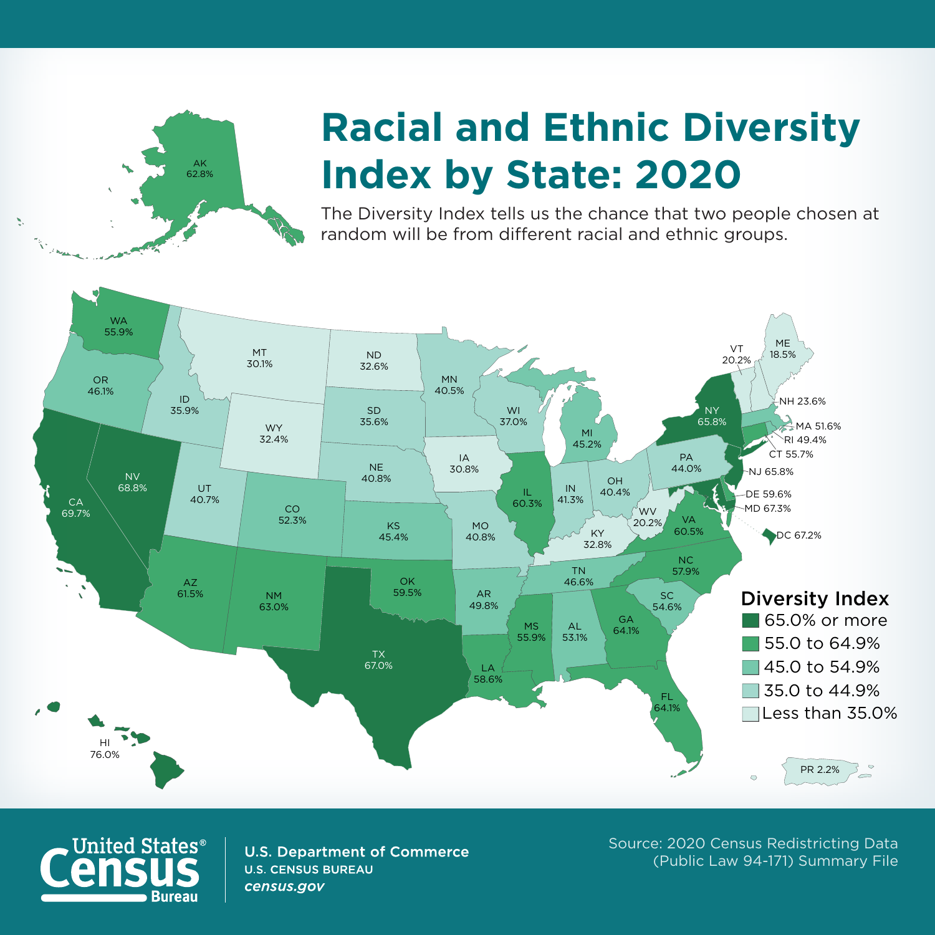

## **Racial and Ethnic Diversity Index by State: 2020**

The Diversity Index tells us the chance that two people chosen at random will be from different racial and ethnic groups.





**U.S. Department of Commerce U.S. CENSUS BUREAU** census.gov

Source: 2020 Census Redistricting Data (Public Law 94-171) Summary File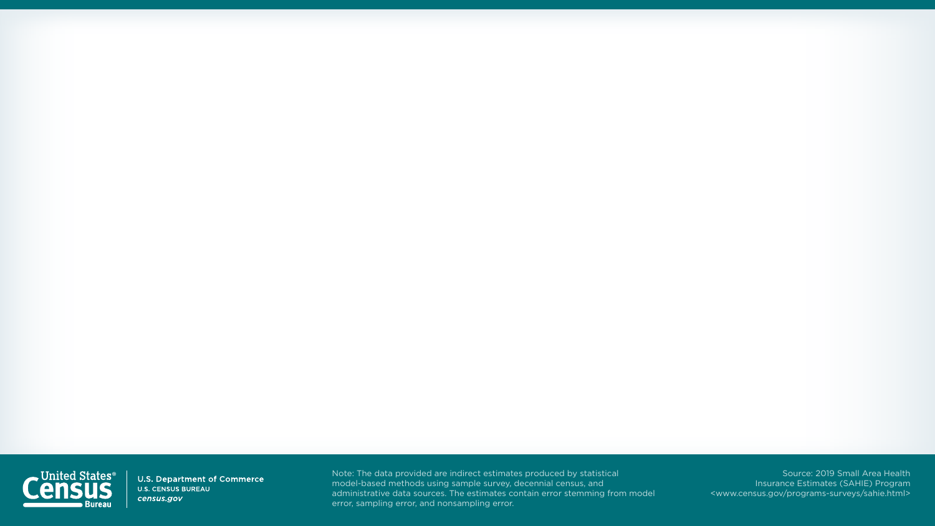

U.S. Department of Commerce **U.S. CENSUS BUREAU** census.gov

Source: 2019 Small Area Health Insurance Estimates (SAHIE) Program <www.census.gov/programs-surveys/sahie.html>



Note: The data provided are indirect estimates produced by statistical model-based methods using sample survey, decennial census, and administrative data sources. The estimates contain error stemming from model error, sampling error, and nonsampling error.